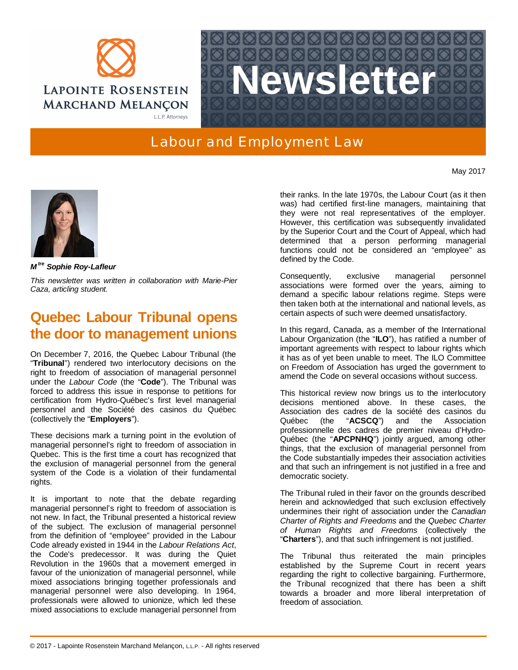



## Labour and Employment Law

May 2017



*M tre Sophie Roy-Lafleur*

*This newsletter was written in collaboration with Marie-Pier Caza, articling student.*

## **Quebec Labour Tribunal opens the door to management unions**

On December 7, 2016, the Quebec Labour Tribunal (the "**Tribunal**") rendered two interlocutory decisions on the right to freedom of association of managerial personnel under the *Labour Code* (the "**Code**"). The Tribunal was forced to address this issue in response to petitions for certification from Hydro-Québec's first level managerial personnel and the Société des casinos du Québec (collectively the "**Employers**").

These decisions mark a turning point in the evolution of managerial personnel's right to freedom of association in Quebec. This is the first time a court has recognized that the exclusion of managerial personnel from the general system of the Code is a violation of their fundamental rights.

It is important to note that the debate regarding managerial personnel's right to freedom of association is not new. In fact, the Tribunal presented a historical review of the subject. The exclusion of managerial personnel from the definition of "employee" provided in the Labour Code already existed in 1944 in the *Labour Relations Act*, the Code's predecessor. It was during the Quiet Revolution in the 1960s that a movement emerged in favour of the unionization of managerial personnel, while mixed associations bringing together professionals and managerial personnel were also developing. In 1964, professionals were allowed to unionize, which led these mixed associations to exclude managerial personnel from

their ranks. In the late 1970s, the Labour Court (as it then was) had certified first-line managers, maintaining that they were not real representatives of the employer. However, this certification was subsequently invalidated by the Superior Court and the Court of Appeal, which had determined that a person performing managerial functions could not be considered an "employee" as defined by the Code.

Consequently, exclusive managerial personnel associations were formed over the years, aiming to demand a specific labour relations regime. Steps were then taken both at the international and national levels, as certain aspects of such were deemed unsatisfactory.

In this regard, Canada, as a member of the International Labour Organization (the "**ILO**"), has ratified a number of important agreements with respect to labour rights which it has as of yet been unable to meet. The ILO Committee on Freedom of Association has urged the government to amend the Code on several occasions without success.

This historical review now brings us to the interlocutory decisions mentioned above. In these cases, the Association des cadres de la société des casinos du Québec (the "**ACSCQ**") and the Association professionnelle des cadres de premier niveau d'Hydro-Québec (the "**APCPNHQ**") jointly argued, among other things, that the exclusion of managerial personnel from the Code substantially impedes their association activities and that such an infringement is not justified in a free and democratic society.

The Tribunal ruled in their favor on the grounds described herein and acknowledged that such exclusion effectively undermines their right of association under the *Canadian Charter of Rights and Freedoms* and the *Quebec Charter of Human Rights and Freedoms* (collectively the "**Charters**"), and that such infringement is not justified.

The Tribunal thus reiterated the main principles established by the Supreme Court in recent years regarding the right to collective bargaining. Furthermore, the Tribunal recognized that there has been a shift towards a broader and more liberal interpretation of freedom of association.